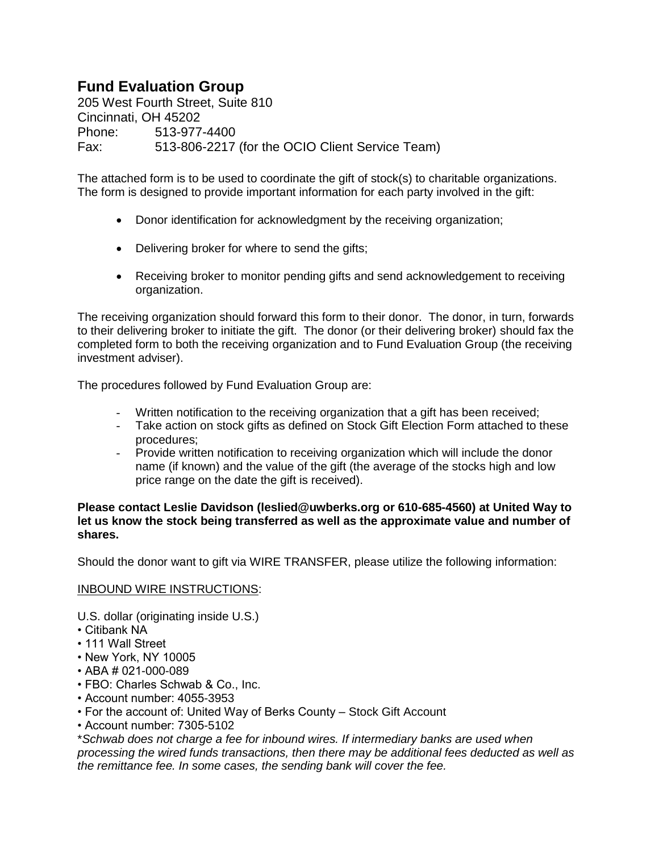## **Fund Evaluation Group**

205 West Fourth Street, Suite 810 Cincinnati, OH 45202 Phone: 513-977-4400 Fax: 513-806-2217 (for the OCIO Client Service Team)

The attached form is to be used to coordinate the gift of stock(s) to charitable organizations. The form is designed to provide important information for each party involved in the gift:

- Donor identification for acknowledgment by the receiving organization;
- Delivering broker for where to send the gifts;
- Receiving broker to monitor pending gifts and send acknowledgement to receiving organization.

The receiving organization should forward this form to their donor. The donor, in turn, forwards to their delivering broker to initiate the gift. The donor (or their delivering broker) should fax the completed form to both the receiving organization and to Fund Evaluation Group (the receiving investment adviser).

The procedures followed by Fund Evaluation Group are:

- Written notification to the receiving organization that a gift has been received;
- Take action on stock gifts as defined on Stock Gift Election Form attached to these procedures;
- Provide written notification to receiving organization which will include the donor name (if known) and the value of the gift (the average of the stocks high and low price range on the date the gift is received).

## **Please contact Leslie Davidson (leslied@uwberks.org or 610-685-4560) at United Way to let us know the stock being transferred as well as the approximate value and number of shares.**

Should the donor want to gift via WIRE TRANSFER, please utilize the following information:

## INBOUND WIRE INSTRUCTIONS:

U.S. dollar (originating inside U.S.)

- Citibank NA
- 111 Wall Street
- New York, NY 10005
- ABA # 021-000-089
- FBO: Charles Schwab & Co., Inc.
- Account number: 4055-3953
- For the account of: United Way of Berks County Stock Gift Account
- Account number: 7305-5102

\**Schwab does not charge a fee for inbound wires. If intermediary banks are used when processing the wired funds transactions, then there may be additional fees deducted as well as the remittance fee. In some cases, the sending bank will cover the fee.*